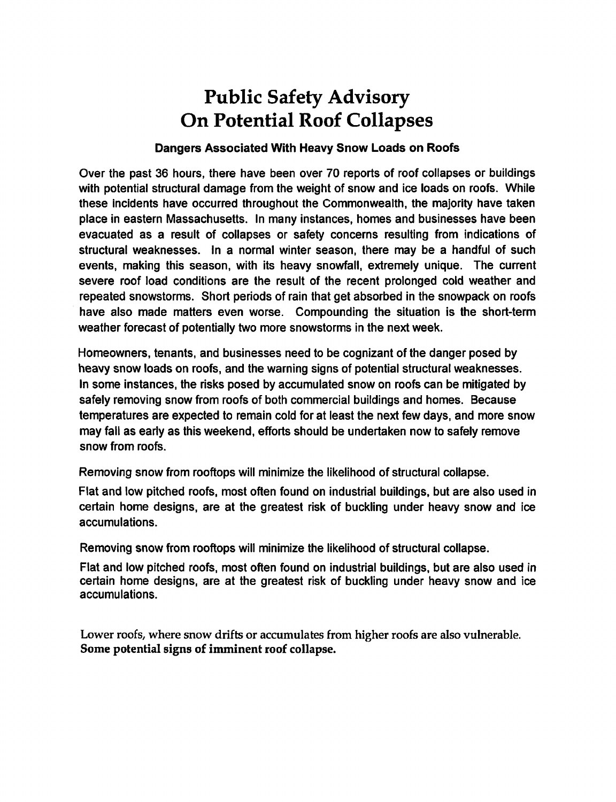# Public Safety Advisory On Potential Roof Collapses

#### Dangers Associated With Heavy Snow Loads on Roofs

Over the past 36 hours, there have been over 70 reports of roof collapses or buildings with potential structural damage from the weight of snow and ice loads on roofs. While these incidents have occurred throughout the Commonwealth, the majority have taken place in eastern Massachusetts. In many instances, homes and businesses have been evacuated as a result of collapses or safety concerns resulting from indications of structural weaknesses. In a normal winter season, there may be a handful of such events, making this season, with its heavy snowfall, extremely unique. The current severe roof load conditions are the result of the recent prolonged cold weather and repeated snowstorms. Short periods of rain that get absorbed in the snowpack on roofs have also made matters even worse. Compounding the situation is the short-term weather forecast of potentially two more snowstorms in the next week.

Homeowners, tenants, and businesses need to be cognizant of the danger posed by heavy snow loads on roofs, and the warning signs of potential structural weaknesses. In some instances, the risks posed by accumulated snow on roofs can be mitigated by safely removing snow from roofs of both commercial buildings and homes. Because temperatures are expected to remain cold for at least the next few days, and more snow may fall as early as this weekend, efforts should be undertaken now to safely remove snow from roofs.

Removing snow from rooftops will minimize the likelihood of structural collapse.

Flat and low pitched roofs, most often found on industrial buildings, but are also used in certain home designs, are at the greatest risk of buckling under heavy snow and ice accumulations.

Removing snow from rooftops will minimize the likelihood of structural collapse.

Flat and low pitched roofs, most often found on industrial buildings, but are also used in certain home designs, are at the greatest risk of buckling under heavy snow and ice accumulations.

Lower roofs, where snow drifts or accumulates from higher roofs are also vulnerable. Some potential signs of imminent roof collapse.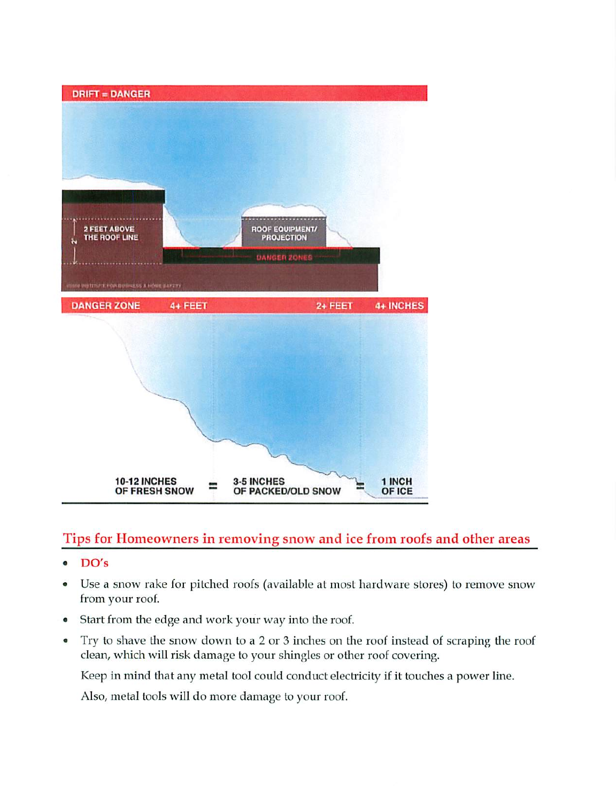

### Tips for Homeowners in removing snow and ice from roofs and other areas

- DO's  $\bullet$
- Use a snow rake for pitched roofs (available at most hardware stores) to remove snow  $\bullet$ from your roof.
- Start from the edge and work your way into the roof.  $\bullet$
- Try to shave the snow down to a 2 or 3 inches on the roof instead of scraping the roof  $\bullet$ clean, which will risk damage to your shingles or other roof covering.

Keep in mind that any metal tool could conduct electricity if it touches a power line.

Also, metal tools will do more damage to your roof.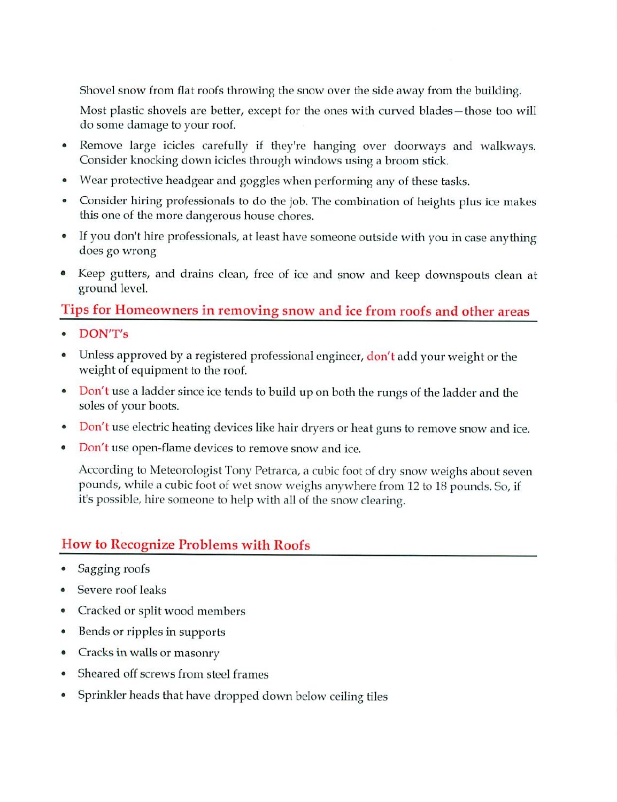Shovel snow from flat roofs throwing the snow over the side away from the building.

Most plastic shovels are better, except for the ones with curved blades-those too will do some damage to your roof.

- Remove large icicles carefully if they're hanging over doorways and walkways.  $\bullet$ Consider knocking down icicles through windows using a broom stick.
- Wear protective headgear and goggles when performing any of these tasks.  $\bullet$
- $\bullet$ Consider hiring professionals to do the job. The combination of heights plus ice makes this one of the more dangerous house chores.
- If you don't hire professionals, at least have someone outside with you in case anything does go wrong
- Keep gutters, and drains clean, free of ice and snow and keep downspouts clean at  $\bullet$ ground level.

#### Tips for Homeowners in removing snow and ice from roofs and other areas

- DON'T's
- Unless approved by a registered professional engineer, don't add your weight or the  $\bullet$ weight of equipment to the roof.
- Don't use a ladder since ice tends to build up on both the rungs of the ladder and the  $\bullet$ soles of your boots.
- Don't use electric heating devices like hair dryers or heat guns to remove snow and ice.  $\bullet$
- Don't use open-flame devices to remove snow and ice.  $\bullet$

According to Meteorologist Tony Petrarca, a cubic foot of dry snow weighs about seven pounds, while a cubic foot of wet snow weighs anywhere from 12 to 18 pounds. So, if it's possible, hire someone to help with all of the snow clearing.

### How to Recognize Problems with Roofs

- Sagging roofs
- Severe roof leaks
- Cracked or split wood members  $\bullet$
- Bends or ripples in supports  $\bullet$
- Cracks in walls or masonry  $\bullet$
- $\bullet$ Sheared off screws from steel frames
- Sprinkler heads that have dropped down below ceiling tiles $\bullet$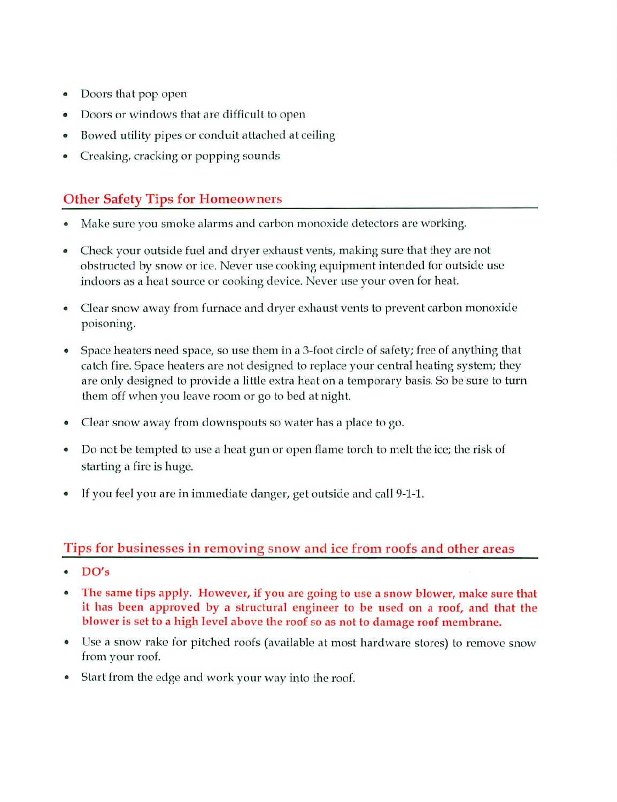- Doors that pop open  $\bullet$
- Doors or windows that are difficult to open  $\bullet$
- Bowed utility pipes or conduit attached at ceiling  $\bullet$
- Creaking, cracking or popping sounds

# Other Safety Tips for Homeowners

- Make sure you smoke alarms and carbon monoxide detectors are working.
- Check your outside fuel and dryer exhaust vents, making sure that they are not obstructed by snow or ice. Never use cooking equipment intended for outside use indoors as heat source or cooking device. Never use your oven for heat.
- Clear snow away from furnace and dryer exhaust vents to prevent carbon monoxide  $\bullet$ poisoning.
- Space heaters need space, so use them in 3-foot circle of safety; free of anything that  $\bullet$ catch fire. Space heaters are not designed to replace your central heating system; they are only designed to provide a little extra heat on a temporary basis. So be sure to turn them off when you leave room or go to bed at night.
- Clear snow away from downspouts so water has a place to go.  $\bullet$
- Do not be tempted to use a heat gun or open flame torch to melt the ice; the risk of  $\bullet$ starting a fire is huge.
- If you feel you are in immediate danger, get outside and call 9-1-1.

### Tips for businesses in removing snow and ice from roofs and other areas

- DO's
- The same tips apply. However, if you are going to use a snow blower, make sure that  $\bullet$ it has been approved by a structural engineer to be used on a roof, and that the blower is set to a high level above the roof so as not to damage roof membrane.
- $\bullet$ Use a snow rake for pitched roofs (available at most hardware stores) to remove snow from your roof.
- Start from the edge and work your way into the roof.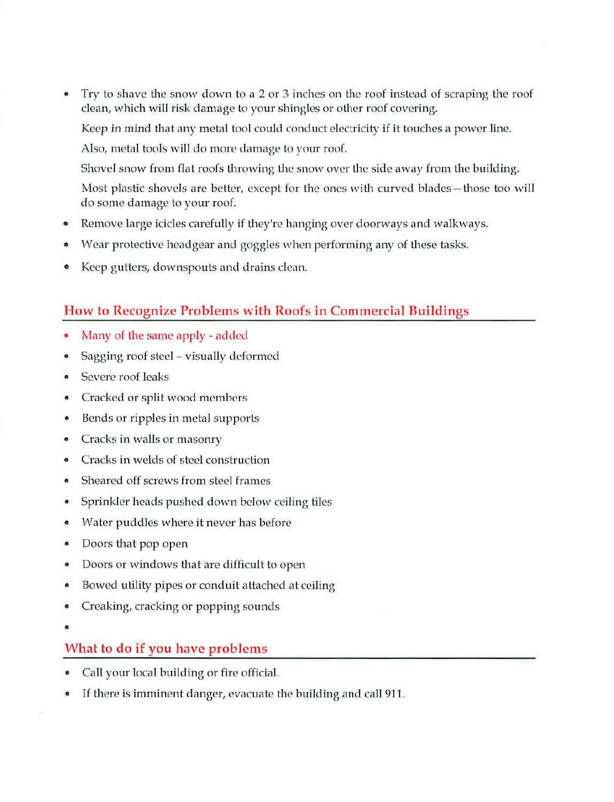- Try to shave the snow down to a 2 or 3 inches on the roof instead of scraping the roof clean, which will risk damage to your shingles or other roof covering. Keep in mind that any metal tool could conduct electricity if it touches a power line. Also, metal tools will do more damage to your roof. Shovel snow from flat roofs throwing the snow over the side away from the building. Most plastic shovels are better, except for the ones with curved blades-those too will do some damage to your roof.
- Remove large icicles carefully if they're hanging over doorways and walkways.  $\bullet$
- Wear protective headgear and goggles when performing any of these tasks.
- Keep gutters, downspouts and drains clean.

#### How to Recognize Problems with Roofs in Commercial Buildings

- Many of the same apply added
- Sagging roof steel visually deformed
- Severe roof leaks
- Cracked or split wood members
- Bends or ripples in metal supports
- Cracks in walls or masonry
- Cracks in welds of steel construction
- Sheared off screws from steel frames
- Sprinkler heads pushed down below ceiling tiles
- Water puddles where it never has before
- Doors that pop open
- Doors or windows that are difficult to open
- Bowed utility pipes or conduit attached at ceiling
- Creaking, cracking or popping sounds
- 

## What to do if you have problems

- Call your local building or fire official.
- If there is imminent danger, evacuate the building and call 911.